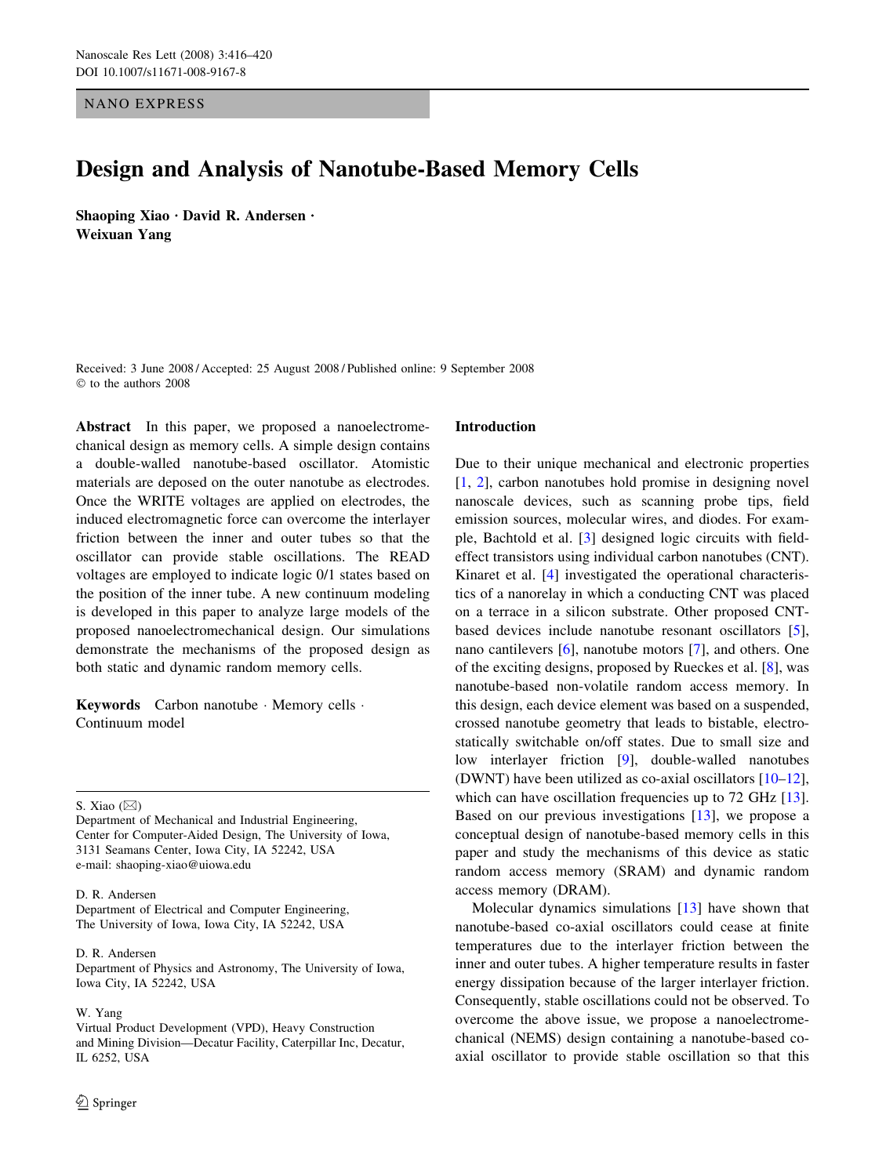NANO EXPRESS

# Design and Analysis of Nanotube-Based Memory Cells

Shaoping Xiao  $\cdot$  David R. Andersen  $\cdot$ Weixuan Yang

Received: 3 June 2008 / Accepted: 25 August 2008 / Published online: 9 September 2008  $©$  to the authors 2008

Abstract In this paper, we proposed a nanoelectromechanical design as memory cells. A simple design contains a double-walled nanotube-based oscillator. Atomistic materials are deposed on the outer nanotube as electrodes. Once the WRITE voltages are applied on electrodes, the induced electromagnetic force can overcome the interlayer friction between the inner and outer tubes so that the oscillator can provide stable oscillations. The READ voltages are employed to indicate logic 0/1 states based on the position of the inner tube. A new continuum modeling is developed in this paper to analyze large models of the proposed nanoelectromechanical design. Our simulations demonstrate the mechanisms of the proposed design as both static and dynamic random memory cells.

Keywords Carbon nanotube · Memory cells · Continuum model

S. Xiao  $(\boxtimes)$ 

# D. R. Andersen

Department of Electrical and Computer Engineering, The University of Iowa, Iowa City, IA 52242, USA

#### D. R. Andersen

Department of Physics and Astronomy, The University of Iowa, Iowa City, IA 52242, USA

# W. Yang

Virtual Product Development (VPD), Heavy Construction and Mining Division—Decatur Facility, Caterpillar Inc, Decatur, IL 6252, USA

#### Introduction

Due to their unique mechanical and electronic properties [\[1](#page-4-0), [2\]](#page-4-0), carbon nanotubes hold promise in designing novel nanoscale devices, such as scanning probe tips, field emission sources, molecular wires, and diodes. For example, Bachtold et al. [\[3](#page-4-0)] designed logic circuits with fieldeffect transistors using individual carbon nanotubes (CNT). Kinaret et al. [[4\]](#page-4-0) investigated the operational characteristics of a nanorelay in which a conducting CNT was placed on a terrace in a silicon substrate. Other proposed CNTbased devices include nanotube resonant oscillators [\[5](#page-4-0)], nano cantilevers [\[6](#page-4-0)], nanotube motors [\[7](#page-4-0)], and others. One of the exciting designs, proposed by Rueckes et al. [\[8](#page-4-0)], was nanotube-based non-volatile random access memory. In this design, each device element was based on a suspended, crossed nanotube geometry that leads to bistable, electrostatically switchable on/off states. Due to small size and low interlayer friction [\[9](#page-4-0)], double-walled nanotubes (DWNT) have been utilized as co-axial oscillators [\[10–12](#page-4-0)], which can have oscillation frequencies up to 72 GHz [\[13](#page-4-0)]. Based on our previous investigations [\[13](#page-4-0)], we propose a conceptual design of nanotube-based memory cells in this paper and study the mechanisms of this device as static random access memory (SRAM) and dynamic random access memory (DRAM).

Molecular dynamics simulations [[13\]](#page-4-0) have shown that nanotube-based co-axial oscillators could cease at finite temperatures due to the interlayer friction between the inner and outer tubes. A higher temperature results in faster energy dissipation because of the larger interlayer friction. Consequently, stable oscillations could not be observed. To overcome the above issue, we propose a nanoelectromechanical (NEMS) design containing a nanotube-based coaxial oscillator to provide stable oscillation so that this

Department of Mechanical and Industrial Engineering, Center for Computer-Aided Design, The University of Iowa, 3131 Seamans Center, Iowa City, IA 52242, USA e-mail: shaoping-xiao@uiowa.edu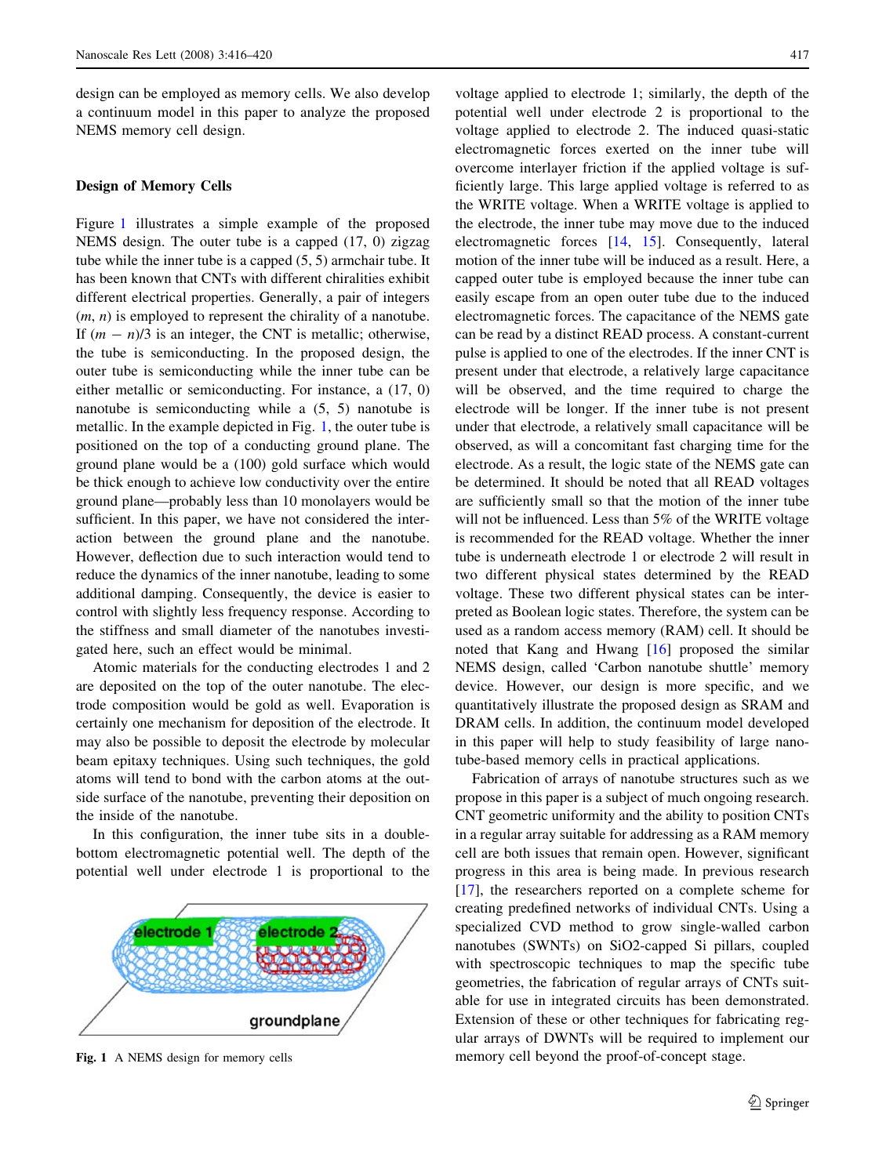design can be employed as memory cells. We also develop a continuum model in this paper to analyze the proposed NEMS memory cell design.

# Design of Memory Cells

Figure 1 illustrates a simple example of the proposed NEMS design. The outer tube is a capped (17, 0) zigzag tube while the inner tube is a capped (5, 5) armchair tube. It has been known that CNTs with different chiralities exhibit different electrical properties. Generally, a pair of integers  $(m, n)$  is employed to represent the chirality of a nanotube. If  $(m - n)/3$  is an integer, the CNT is metallic; otherwise, the tube is semiconducting. In the proposed design, the outer tube is semiconducting while the inner tube can be either metallic or semiconducting. For instance, a (17, 0) nanotube is semiconducting while a (5, 5) nanotube is metallic. In the example depicted in Fig. 1, the outer tube is positioned on the top of a conducting ground plane. The ground plane would be a (100) gold surface which would be thick enough to achieve low conductivity over the entire ground plane—probably less than 10 monolayers would be sufficient. In this paper, we have not considered the interaction between the ground plane and the nanotube. However, deflection due to such interaction would tend to reduce the dynamics of the inner nanotube, leading to some additional damping. Consequently, the device is easier to control with slightly less frequency response. According to the stiffness and small diameter of the nanotubes investigated here, such an effect would be minimal.

Atomic materials for the conducting electrodes 1 and 2 are deposited on the top of the outer nanotube. The electrode composition would be gold as well. Evaporation is certainly one mechanism for deposition of the electrode. It may also be possible to deposit the electrode by molecular beam epitaxy techniques. Using such techniques, the gold atoms will tend to bond with the carbon atoms at the outside surface of the nanotube, preventing their deposition on the inside of the nanotube.

In this configuration, the inner tube sits in a doublebottom electromagnetic potential well. The depth of the potential well under electrode 1 is proportional to the



voltage applied to electrode 1; similarly, the depth of the potential well under electrode 2 is proportional to the voltage applied to electrode 2. The induced quasi-static electromagnetic forces exerted on the inner tube will overcome interlayer friction if the applied voltage is sufficiently large. This large applied voltage is referred to as the WRITE voltage. When a WRITE voltage is applied to the electrode, the inner tube may move due to the induced electromagnetic forces [\[14](#page-4-0), [15\]](#page-4-0). Consequently, lateral motion of the inner tube will be induced as a result. Here, a capped outer tube is employed because the inner tube can easily escape from an open outer tube due to the induced electromagnetic forces. The capacitance of the NEMS gate can be read by a distinct READ process. A constant-current pulse is applied to one of the electrodes. If the inner CNT is present under that electrode, a relatively large capacitance will be observed, and the time required to charge the electrode will be longer. If the inner tube is not present under that electrode, a relatively small capacitance will be observed, as will a concomitant fast charging time for the electrode. As a result, the logic state of the NEMS gate can be determined. It should be noted that all READ voltages are sufficiently small so that the motion of the inner tube will not be influenced. Less than 5% of the WRITE voltage is recommended for the READ voltage. Whether the inner tube is underneath electrode 1 or electrode 2 will result in two different physical states determined by the READ voltage. These two different physical states can be interpreted as Boolean logic states. Therefore, the system can be used as a random access memory (RAM) cell. It should be noted that Kang and Hwang [\[16](#page-4-0)] proposed the similar NEMS design, called 'Carbon nanotube shuttle' memory device. However, our design is more specific, and we quantitatively illustrate the proposed design as SRAM and DRAM cells. In addition, the continuum model developed in this paper will help to study feasibility of large nanotube-based memory cells in practical applications.

Fabrication of arrays of nanotube structures such as we propose in this paper is a subject of much ongoing research. CNT geometric uniformity and the ability to position CNTs in a regular array suitable for addressing as a RAM memory cell are both issues that remain open. However, significant progress in this area is being made. In previous research [\[17](#page-4-0)], the researchers reported on a complete scheme for creating predefined networks of individual CNTs. Using a specialized CVD method to grow single-walled carbon nanotubes (SWNTs) on SiO2-capped Si pillars, coupled with spectroscopic techniques to map the specific tube geometries, the fabrication of regular arrays of CNTs suitable for use in integrated circuits has been demonstrated. Extension of these or other techniques for fabricating regular arrays of DWNTs will be required to implement our Fig. 1 A NEMS design for memory cells memory cell beyond the proof-of-concept stage.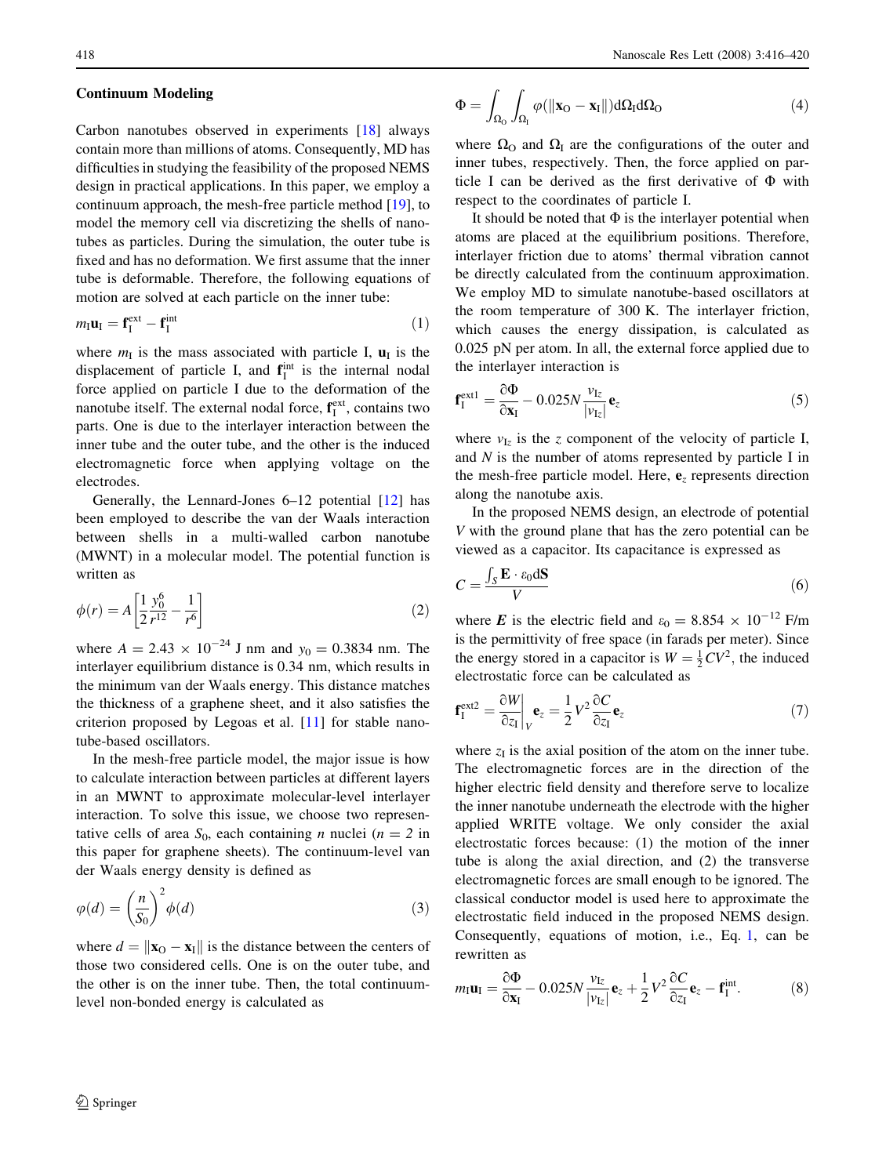# Continuum Modeling

Carbon nanotubes observed in experiments [[18\]](#page-4-0) always contain more than millions of atoms. Consequently, MD has difficulties in studying the feasibility of the proposed NEMS design in practical applications. In this paper, we employ a continuum approach, the mesh-free particle method [\[19](#page-4-0)], to model the memory cell via discretizing the shells of nanotubes as particles. During the simulation, the outer tube is fixed and has no deformation. We first assume that the inner tube is deformable. Therefore, the following equations of motion are solved at each particle on the inner tube:

$$
m_{\rm I} \mathbf{u}_{\rm I} = \mathbf{f}_{\rm I}^{\rm ext} - \mathbf{f}_{\rm I}^{\rm int} \tag{1}
$$

where  $m<sub>I</sub>$  is the mass associated with particle I,  $\mathbf{u}<sub>I</sub>$  is the displacement of particle I, and  $f_I^{\text{int}}$  is the internal nodal force applied on particle I due to the deformation of the nanotube itself. The external nodal force,  $f_I^{\text{ext}}$ , contains two parts. One is due to the interlayer interaction between the inner tube and the outer tube, and the other is the induced electromagnetic force when applying voltage on the electrodes.

Generally, the Lennard-Jones 6–12 potential [[12\]](#page-4-0) has been employed to describe the van der Waals interaction between shells in a multi-walled carbon nanotube (MWNT) in a molecular model. The potential function is written as

$$
\phi(r) = A \left[ \frac{1}{2} \frac{y_0^6}{r^{12}} - \frac{1}{r^6} \right]
$$
\n(2)

where  $A = 2.43 \times 10^{-24}$  J nm and  $y_0 = 0.3834$  nm. The interlayer equilibrium distance is 0.34 nm, which results in the minimum van der Waals energy. This distance matches the thickness of a graphene sheet, and it also satisfies the criterion proposed by Legoas et al. [\[11](#page-4-0)] for stable nanotube-based oscillators.

In the mesh-free particle model, the major issue is how to calculate interaction between particles at different layers in an MWNT to approximate molecular-level interlayer interaction. To solve this issue, we choose two representative cells of area  $S_0$ , each containing *n* nuclei ( $n = 2$  in this paper for graphene sheets). The continuum-level van der Waals energy density is defined as

$$
\varphi(d) = \left(\frac{n}{S_0}\right)^2 \phi(d) \tag{3}
$$

where  $d = ||\mathbf{x}_0 - \mathbf{x}_I||$  is the distance between the centers of those two considered cells. One is on the outer tube, and the other is on the inner tube. Then, the total continuumlevel non-bonded energy is calculated as

$$
\Phi = \int_{\Omega_{\rm O}} \int_{\Omega_{\rm I}} \varphi(||\mathbf{x}_{\rm O} - \mathbf{x}_{\rm I}||) d\Omega_{\rm I} d\Omega_{\rm O}
$$
\n(4)

where  $\Omega_0$  and  $\Omega_1$  are the configurations of the outer and inner tubes, respectively. Then, the force applied on particle I can be derived as the first derivative of  $\Phi$  with respect to the coordinates of particle I.

It should be noted that  $\Phi$  is the interlayer potential when atoms are placed at the equilibrium positions. Therefore, interlayer friction due to atoms' thermal vibration cannot be directly calculated from the continuum approximation. We employ MD to simulate nanotube-based oscillators at the room temperature of 300 K. The interlayer friction, which causes the energy dissipation, is calculated as 0.025 pN per atom. In all, the external force applied due to the interlayer interaction is

$$
\mathbf{f}_{\mathrm{I}}^{\mathrm{ext1}} = \frac{\partial \Phi}{\partial \mathbf{x}_{\mathrm{I}}} - 0.025N \frac{\nu_{\mathrm{I}z}}{|\nu_{\mathrm{I}z}|} \mathbf{e}_{z}
$$
(5)

where  $v_{Iz}$  is the z component of the velocity of particle I, and N is the number of atoms represented by particle I in the mesh-free particle model. Here,  $e<sub>z</sub>$  represents direction along the nanotube axis.

In the proposed NEMS design, an electrode of potential V with the ground plane that has the zero potential can be viewed as a capacitor. Its capacitance is expressed as

$$
C = \frac{\int_{S} \mathbf{E} \cdot \varepsilon_{0} \, \mathrm{d} \mathbf{S}}{V} \tag{6}
$$

where *E* is the electric field and  $\varepsilon_0 = 8.854 \times 10^{-12}$  F/m is the permittivity of free space (in farads per meter). Since the energy stored in a capacitor is  $W = \frac{1}{2}CV^2$ , the induced electrostatic force can be calculated as

$$
\mathbf{f}_{I}^{\text{ext2}} = \frac{\partial W}{\partial z_{I}}\bigg|_{V} \mathbf{e}_{z} = \frac{1}{2} V^{2} \frac{\partial C}{\partial z_{I}} \mathbf{e}_{z}
$$
(7)

where  $z_I$  is the axial position of the atom on the inner tube. The electromagnetic forces are in the direction of the higher electric field density and therefore serve to localize the inner nanotube underneath the electrode with the higher applied WRITE voltage. We only consider the axial electrostatic forces because: (1) the motion of the inner tube is along the axial direction, and (2) the transverse electromagnetic forces are small enough to be ignored. The classical conductor model is used here to approximate the electrostatic field induced in the proposed NEMS design. Consequently, equations of motion, i.e., Eq. 1, can be rewritten as

$$
m_{\rm I} \mathbf{u}_{\rm I} = \frac{\partial \Phi}{\partial \mathbf{x}_{\rm I}} - 0.025N \frac{v_{\rm Iz}}{|v_{\rm Iz}|} \mathbf{e}_{z} + \frac{1}{2} V^2 \frac{\partial C}{\partial z_{\rm I}} \mathbf{e}_{z} - \mathbf{f}_{\rm I}^{\rm int}.
$$
 (8)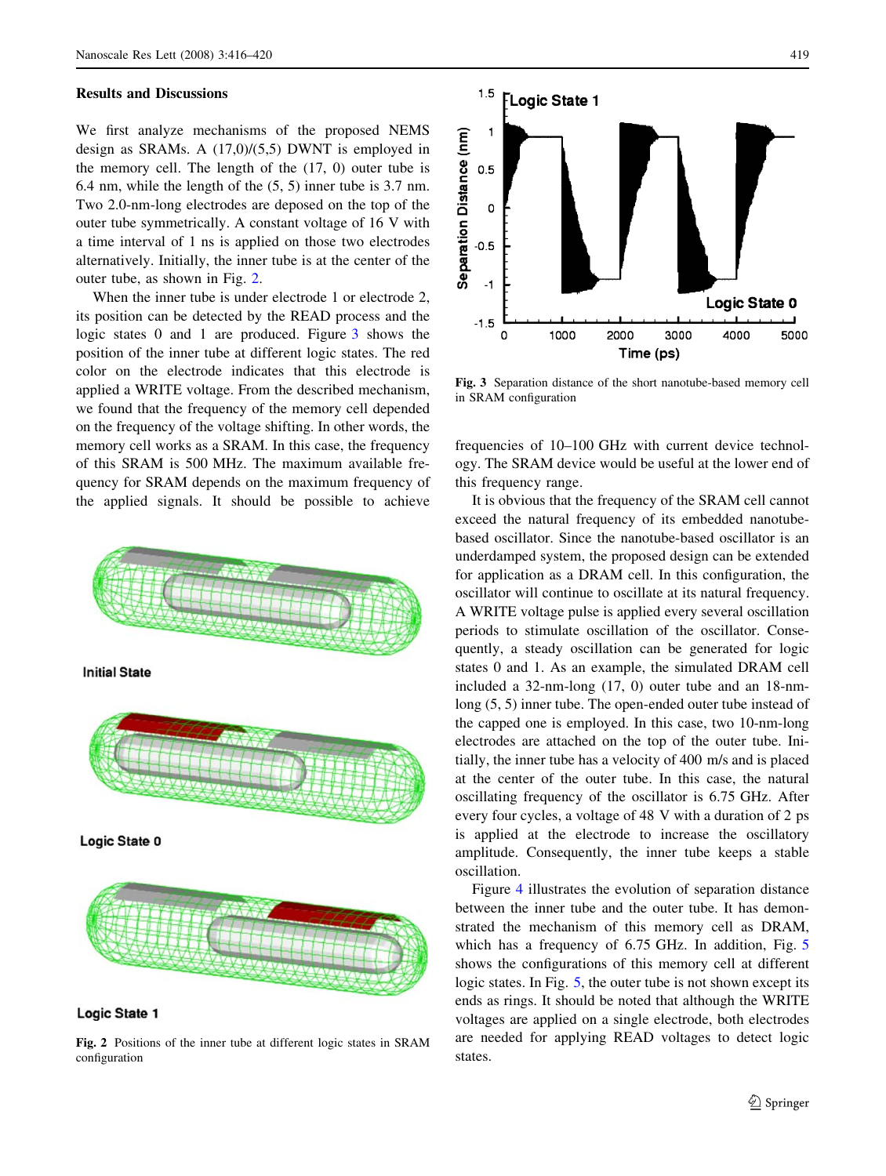## Results and Discussions

We first analyze mechanisms of the proposed NEMS design as SRAMs. A (17,0)/(5,5) DWNT is employed in the memory cell. The length of the (17, 0) outer tube is 6.4 nm, while the length of the (5, 5) inner tube is 3.7 nm. Two 2.0-nm-long electrodes are deposed on the top of the outer tube symmetrically. A constant voltage of 16 V with a time interval of 1 ns is applied on those two electrodes alternatively. Initially, the inner tube is at the center of the outer tube, as shown in Fig. 2.

When the inner tube is under electrode 1 or electrode 2, its position can be detected by the READ process and the logic states 0 and 1 are produced. Figure 3 shows the position of the inner tube at different logic states. The red color on the electrode indicates that this electrode is applied a WRITE voltage. From the described mechanism, we found that the frequency of the memory cell depended on the frequency of the voltage shifting. In other words, the memory cell works as a SRAM. In this case, the frequency of this SRAM is 500 MHz. The maximum available frequency for SRAM depends on the maximum frequency of the applied signals. It should be possible to achieve





Fig. 2 Positions of the inner tube at different logic states in SRAM configuration



Fig. 3 Separation distance of the short nanotube-based memory cell in SRAM configuration

frequencies of 10–100 GHz with current device technology. The SRAM device would be useful at the lower end of this frequency range.

It is obvious that the frequency of the SRAM cell cannot exceed the natural frequency of its embedded nanotubebased oscillator. Since the nanotube-based oscillator is an underdamped system, the proposed design can be extended for application as a DRAM cell. In this configuration, the oscillator will continue to oscillate at its natural frequency. A WRITE voltage pulse is applied every several oscillation periods to stimulate oscillation of the oscillator. Consequently, a steady oscillation can be generated for logic states 0 and 1. As an example, the simulated DRAM cell included a 32-nm-long (17, 0) outer tube and an 18-nmlong (5, 5) inner tube. The open-ended outer tube instead of the capped one is employed. In this case, two 10-nm-long electrodes are attached on the top of the outer tube. Initially, the inner tube has a velocity of 400 m/s and is placed at the center of the outer tube. In this case, the natural oscillating frequency of the oscillator is 6.75 GHz. After every four cycles, a voltage of 48 V with a duration of 2 ps is applied at the electrode to increase the oscillatory amplitude. Consequently, the inner tube keeps a stable oscillation.

Figure [4](#page-4-0) illustrates the evolution of separation distance between the inner tube and the outer tube. It has demonstrated the mechanism of this memory cell as DRAM, which has a frequency of 6.7[5](#page-4-0) GHz. In addition, Fig. 5 shows the configurations of this memory cell at different logic states. In Fig. [5,](#page-4-0) the outer tube is not shown except its ends as rings. It should be noted that although the WRITE voltages are applied on a single electrode, both electrodes are needed for applying READ voltages to detect logic states.